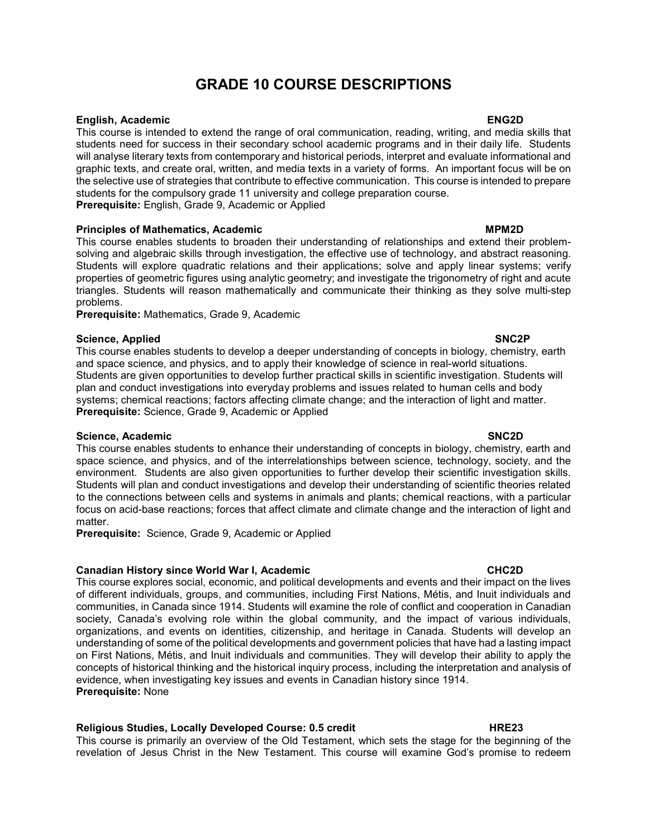# GRADE 10 COURSE DESCRIPTIONS

## English, Academic ENG2D

This course is intended to extend the range of oral communication, reading, writing, and media skills that students need for success in their secondary school academic programs and in their daily life. Students will analyse literary texts from contemporary and historical periods, interpret and evaluate informational and graphic texts, and create oral, written, and media texts in a variety of forms. An important focus will be on the selective use of strategies that contribute to effective communication. This course is intended to prepare students for the compulsory grade 11 university and college preparation course. Prerequisite: English, Grade 9, Academic or Applied

### Principles of Mathematics, Academic MPM2D and MPM2D MPM2D

This course enables students to broaden their understanding of relationships and extend their problemsolving and algebraic skills through investigation, the effective use of technology, and abstract reasoning. Students will explore quadratic relations and their applications; solve and apply linear systems; verify properties of geometric figures using analytic geometry; and investigate the trigonometry of right and acute triangles. Students will reason mathematically and communicate their thinking as they solve multi-step problems.

Prerequisite: Mathematics, Grade 9, Academic

### Science, Applied SNC2P Solid SNC2P SNC2P SNC2P SNC2P SNC2P SNC2P SNC2P SNC2P SNC2P SNC2P SNC2P SNC2P SNC2P SNC2P SNC2P SNC2P SNC2P SNC2P SNC2P SNC2P SNC2P SNC2P SNC2P SNC2P SNC2P SNC2P SNC2P SNC2P SNC2P SNC2P SNC2P SNC2P S

This course enables students to develop a deeper understanding of concepts in biology, chemistry, earth and space science, and physics, and to apply their knowledge of science in real-world situations. Students are given opportunities to develop further practical skills in scientific investigation. Students will plan and conduct investigations into everyday problems and issues related to human cells and body systems; chemical reactions; factors affecting climate change; and the interaction of light and matter. Prerequisite: Science, Grade 9, Academic or Applied

## Science, Academic SNC2D SNC2D SNC2D SNC2D SNC2D SNC2D SNC2D SNC2D SNC2D SNC2D SNC2D SNC2D SNC2D SNC2D SNC2D SNC2D SNC2D SNC2D SNC2D SNC2D SNC2D SNC2D SNC2D SNC2D SNC2D SNC2D SNC2D SNC2D SNC2D SNC2D SNC2D SNC2D SNC2D SNC2D

This course enables students to enhance their understanding of concepts in biology, chemistry, earth and space science, and physics, and of the interrelationships between science, technology, society, and the environment. Students are also given opportunities to further develop their scientific investigation skills. Students will plan and conduct investigations and develop their understanding of scientific theories related to the connections between cells and systems in animals and plants; chemical reactions, with a particular focus on acid-base reactions; forces that affect climate and climate change and the interaction of light and matter.

Prerequisite: Science, Grade 9, Academic or Applied

### Canadian History since World War I, Academic CHC2D CHC2D

This course explores social, economic, and political developments and events and their impact on the lives of different individuals, groups, and communities, including First Nations, Métis, and Inuit individuals and communities, in Canada since 1914. Students will examine the role of conflict and cooperation in Canadian society, Canada's evolving role within the global community, and the impact of various individuals, organizations, and events on identities, citizenship, and heritage in Canada. Students will develop an understanding of some of the political developments and government policies that have had a lasting impact on First Nations, Métis, and Inuit individuals and communities. They will develop their ability to apply the concepts of historical thinking and the historical inquiry process, including the interpretation and analysis of evidence, when investigating key issues and events in Canadian history since 1914. Prerequisite: None

## Religious Studies, Locally Developed Course: 0.5 credit **HRE23**

This course is primarily an overview of the Old Testament, which sets the stage for the beginning of the revelation of Jesus Christ in the New Testament. This course will examine God's promise to redeem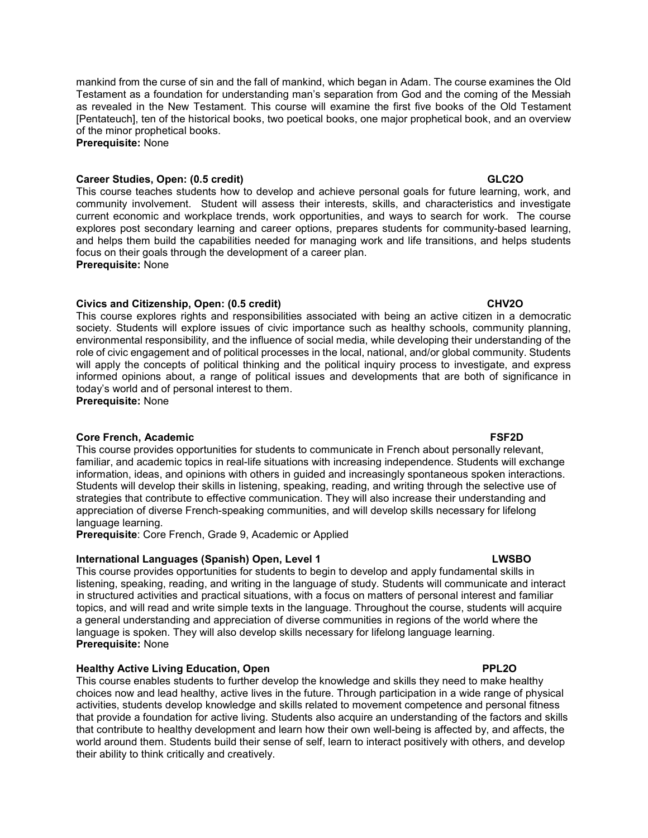## Career Studies, Open: (0.5 credit) GLC2O

This course teaches students how to develop and achieve personal goals for future learning, work, and community involvement. Student will assess their interests, skills, and characteristics and investigate current economic and workplace trends, work opportunities, and ways to search for work. The course explores post secondary learning and career options, prepares students for community-based learning, and helps them build the capabilities needed for managing work and life transitions, and helps students focus on their goals through the development of a career plan. Prerequisite: None

mankind from the curse of sin and the fall of mankind, which began in Adam. The course examines the Old

## Civics and Citizenship, Open: (0.5 credit) CHV2O

This course explores rights and responsibilities associated with being an active citizen in a democratic society. Students will explore issues of civic importance such as healthy schools, community planning, environmental responsibility, and the influence of social media, while developing their understanding of the role of civic engagement and of political processes in the local, national, and/or global community. Students will apply the concepts of political thinking and the political inquiry process to investigate, and express informed opinions about, a range of political issues and developments that are both of significance in today's world and of personal interest to them.

Prerequisite: None

## Core French, Academic **FSF2D**

This course provides opportunities for students to communicate in French about personally relevant, familiar, and academic topics in real-life situations with increasing independence. Students will exchange information, ideas, and opinions with others in guided and increasingly spontaneous spoken interactions. Students will develop their skills in listening, speaking, reading, and writing through the selective use of strategies that contribute to effective communication. They will also increase their understanding and appreciation of diverse French-speaking communities, and will develop skills necessary for lifelong language learning.

Prerequisite: Core French, Grade 9, Academic or Applied

## International Languages (Spanish) Open, Level 1 LWSBO LWSBO

This course provides opportunities for students to begin to develop and apply fundamental skills in listening, speaking, reading, and writing in the language of study. Students will communicate and interact in structured activities and practical situations, with a focus on matters of personal interest and familiar topics, and will read and write simple texts in the language. Throughout the course, students will acquire a general understanding and appreciation of diverse communities in regions of the world where the language is spoken. They will also develop skills necessary for lifelong language learning. Prerequisite: None

## **Healthy Active Living Education, Open PRIZO PRIZO PRIZO**

This course enables students to further develop the knowledge and skills they need to make healthy choices now and lead healthy, active lives in the future. Through participation in a wide range of physical activities, students develop knowledge and skills related to movement competence and personal fitness that provide a foundation for active living. Students also acquire an understanding of the factors and skills that contribute to healthy development and learn how their own well-being is affected by, and affects, the world around them. Students build their sense of self, learn to interact positively with others, and develop their ability to think critically and creatively.